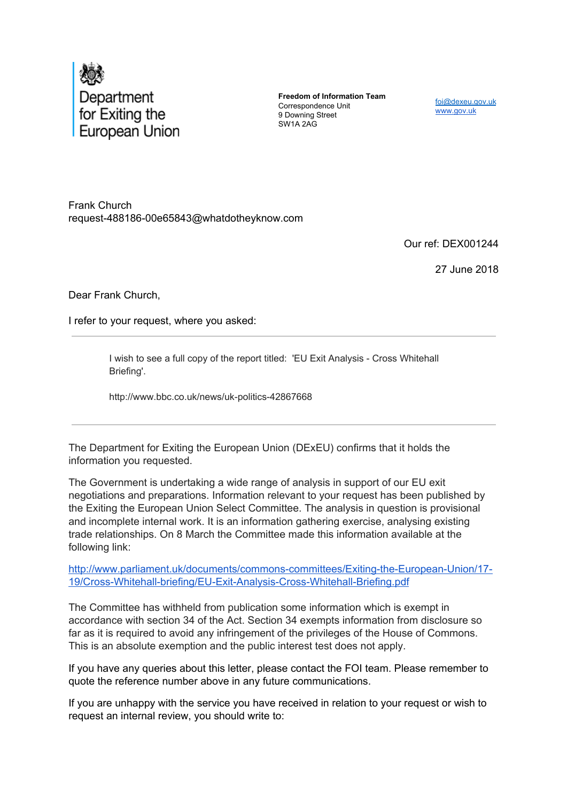

**Freedom of Information Team** Correspondence Unit 9 Downing Street SW1A 2AG

foi@dexeu.gov.uk www.gov.uk

Frank Church request-488186-00e65843@whatdotheyknow.com

Our ref: DEX001244

27 June 2018

Dear Frank Church,

I refer to your request, where you asked:

I wish to see a full copy of the report titled: 'EU Exit Analysis - Cross Whitehall Briefing'.

http://www.bbc.co.uk/news/uk-politics-42867668

The Department for Exiting the European Union (DExEU) confirms that it holds the information you requested.

The Government is undertaking a wide range of analysis in support of our EU exit negotiations and preparations. Information relevant to your request has been published by the Exiting the European Union Select Committee. The analysis in question is provisional and incomplete internal work. It is an information gathering exercise, analysing existing trade relationships. On 8 March the Committee made this information available at the following link:

http://www.parliament.uk/documents/commons-committees/Exiting-the-European-Union/17- 19/Cross-Whitehall-briefing/EU-Exit-Analysis-Cross-Whitehall-Briefing.pdf

The Committee has withheld from publication some information which is exempt in accordance with section 34 of the Act. Section 34 exempts information from disclosure so far as it is required to avoid any infringement of the privileges of the House of Commons. This is an absolute exemption and the public interest test does not apply.

If you have any queries about this letter, please contact the FOI team. Please remember to quote the reference number above in any future communications.

If you are unhappy with the service you have received in relation to your request or wish to request an internal review, you should write to: